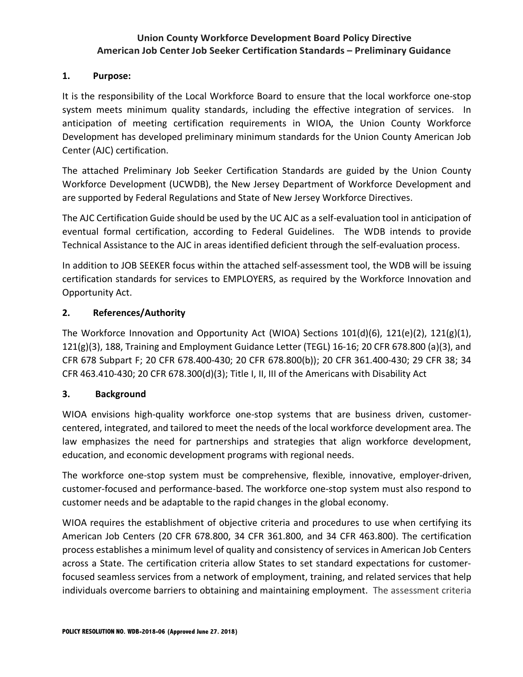## **Union County Workforce Development Board Policy Directive American Job Center Job Seeker Certification Standards – Preliminary Guidance**

### **1. Purpose:**

It is the responsibility of the Local Workforce Board to ensure that the local workforce one-stop system meets minimum quality standards, including the effective integration of services. In anticipation of meeting certification requirements in WIOA, the Union County Workforce Development has developed preliminary minimum standards for the Union County American Job Center (AJC) certification.

The attached Preliminary Job Seeker Certification Standards are guided by the Union County Workforce Development (UCWDB), the New Jersey Department of Workforce Development and are supported by Federal Regulations and State of New Jersey Workforce Directives.

The AJC Certification Guide should be used by the UC AJC as a self-evaluation tool in anticipation of eventual formal certification, according to Federal Guidelines. The WDB intends to provide Technical Assistance to the AJC in areas identified deficient through the self-evaluation process.

In addition to JOB SEEKER focus within the attached self-assessment tool, the WDB will be issuing certification standards for services to EMPLOYERS, as required by the Workforce Innovation and Opportunity Act.

## **2. References/Authority**

The Workforce Innovation and Opportunity Act (WIOA) Sections 101(d)(6), 121(e)(2), 121(g)(1), 121(g)(3), 188, Training and Employment Guidance Letter (TEGL) 16-16; 20 CFR 678.800 (a)(3), and CFR 678 Subpart F; 20 CFR 678.400-430; 20 CFR 678.800(b)); 20 CFR 361.400-430; 29 CFR 38; 34 CFR 463.410-430; 20 CFR 678.300(d)(3); Title I, II, III of the Americans with Disability Act

## **3. Background**

WIOA envisions high-quality workforce one-stop systems that are business driven, customercentered, integrated, and tailored to meet the needs of the local workforce development area. The law emphasizes the need for partnerships and strategies that align workforce development, education, and economic development programs with regional needs.

The workforce one-stop system must be comprehensive, flexible, innovative, employer-driven, customer-focused and performance-based. The workforce one-stop system must also respond to customer needs and be adaptable to the rapid changes in the global economy.

WIOA requires the establishment of objective criteria and procedures to use when certifying its American Job Centers (20 CFR 678.800, 34 CFR 361.800, and 34 CFR 463.800). The certification process establishes a minimum level of quality and consistency of services in American Job Centers across a State. The certification criteria allow States to set standard expectations for customerfocused seamless services from a network of employment, training, and related services that help individuals overcome barriers to obtaining and maintaining employment. The assessment criteria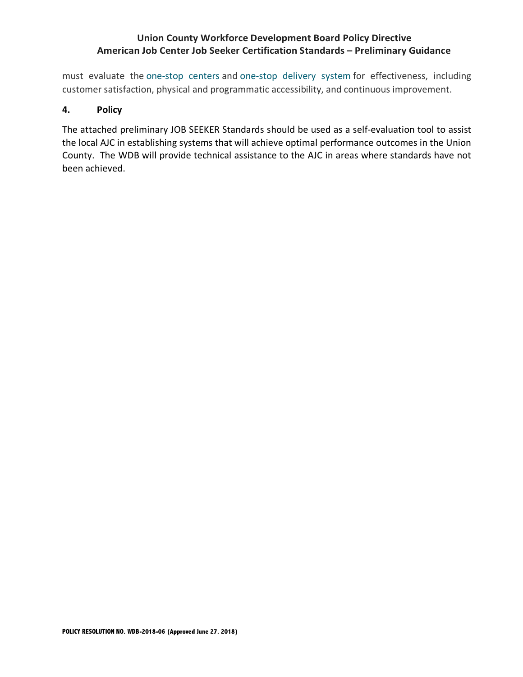## **Union County Workforce Development Board Policy Directive American Job Center Job Seeker Certification Standards – Preliminary Guidance**

must evaluate the one-stop centers and one-stop delivery system for effectiveness, including customer satisfaction, physical and programmatic accessibility, and continuous improvement.

## **4. Policy**

The attached preliminary JOB SEEKER Standards should be used as a self-evaluation tool to assist the local AJC in establishing systems that will achieve optimal performance outcomes in the Union County. The WDB will provide technical assistance to the AJC in areas where standards have not been achieved.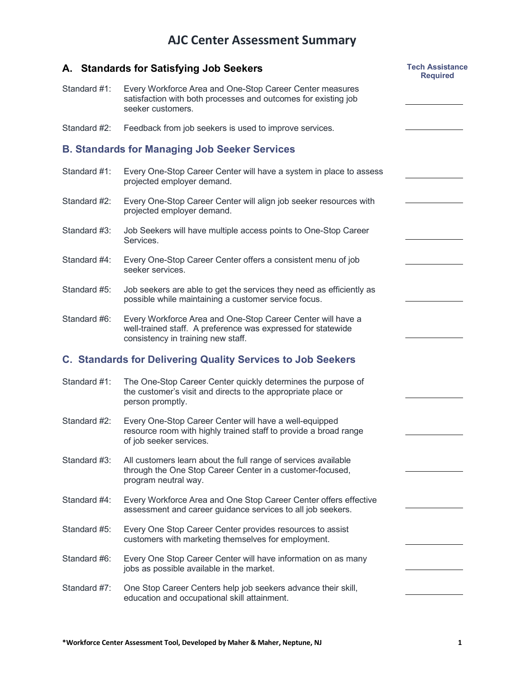# **AJC Center Assessment Summary**

|              | A. Standards for Satisfying Job Seekers                                                                                                                           | <b>Tech Assistance</b><br><b>Required</b> |
|--------------|-------------------------------------------------------------------------------------------------------------------------------------------------------------------|-------------------------------------------|
| Standard #1: | Every Workforce Area and One-Stop Career Center measures<br>satisfaction with both processes and outcomes for existing job<br>seeker customers.                   |                                           |
| Standard #2: | Feedback from job seekers is used to improve services.                                                                                                            |                                           |
|              | <b>B. Standards for Managing Job Seeker Services</b>                                                                                                              |                                           |
| Standard #1: | Every One-Stop Career Center will have a system in place to assess<br>projected employer demand.                                                                  |                                           |
| Standard #2: | Every One-Stop Career Center will align job seeker resources with<br>projected employer demand.                                                                   |                                           |
| Standard #3: | Job Seekers will have multiple access points to One-Stop Career<br>Services.                                                                                      |                                           |
| Standard #4: | Every One-Stop Career Center offers a consistent menu of job<br>seeker services.                                                                                  |                                           |
| Standard #5: | Job seekers are able to get the services they need as efficiently as<br>possible while maintaining a customer service focus.                                      |                                           |
| Standard #6: | Every Workforce Area and One-Stop Career Center will have a<br>well-trained staff. A preference was expressed for statewide<br>consistency in training new staff. |                                           |
|              | <b>C. Standards for Delivering Quality Services to Job Seekers</b>                                                                                                |                                           |
| Standard #1: | The One-Stop Career Center quickly determines the purpose of<br>the customer's visit and directs to the appropriate place or<br>person promptly.                  |                                           |
| Standard #2: | Every One-Stop Career Center will have a well-equipped<br>resource room with highly trained staff to provide a broad range<br>of job seeker services.             |                                           |
| Standard #3: | All customers learn about the full range of services available<br>through the One Stop Career Center in a customer-focused,<br>program neutral way.               |                                           |
| Standard #4: | Every Workforce Area and One Stop Career Center offers effective<br>assessment and career guidance services to all job seekers.                                   |                                           |
| Standard #5: | Every One Stop Career Center provides resources to assist<br>customers with marketing themselves for employment.                                                  |                                           |
| Standard #6: | Every One Stop Career Center will have information on as many<br>jobs as possible available in the market.                                                        |                                           |
| Standard #7: | One Stop Career Centers help job seekers advance their skill,<br>education and occupational skill attainment.                                                     |                                           |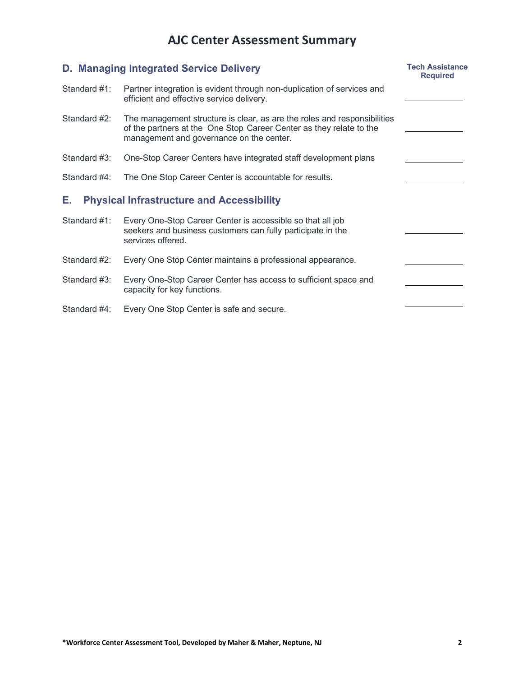# **AJC Center Assessment Summary**

|              | D. Managing Integrated Service Delivery                                                                                                                                                     | <b>Tech Assistance</b><br><b>Required</b> |
|--------------|---------------------------------------------------------------------------------------------------------------------------------------------------------------------------------------------|-------------------------------------------|
| Standard #1: | Partner integration is evident through non-duplication of services and<br>efficient and effective service delivery.                                                                         |                                           |
| Standard #2: | The management structure is clear, as are the roles and responsibilities<br>of the partners at the One Stop Career Center as they relate to the<br>management and governance on the center. |                                           |
| Standard #3: | One-Stop Career Centers have integrated staff development plans                                                                                                                             |                                           |
| Standard #4: | The One Stop Career Center is accountable for results.                                                                                                                                      |                                           |
| Е.           | <b>Physical Infrastructure and Accessibility</b>                                                                                                                                            |                                           |
| Standard #1: | Every One-Stop Career Center is accessible so that all job<br>seekers and business customers can fully participate in the<br>services offered.                                              |                                           |
| Standard #2: | Every One Stop Center maintains a professional appearance.                                                                                                                                  |                                           |
| Standard #3: | Every One-Stop Career Center has access to sufficient space and<br>capacity for key functions.                                                                                              |                                           |
| Standard #4: | Every One Stop Center is safe and secure.                                                                                                                                                   |                                           |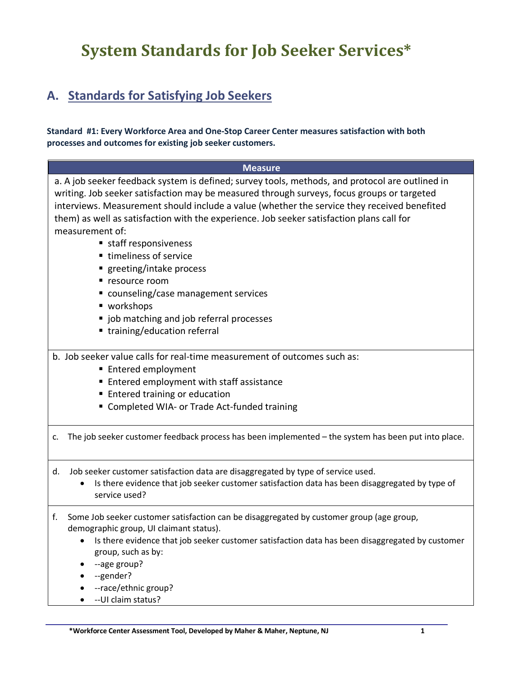# **System Standards for Job Seeker Services\***

## **A. Standards for Satisfying Job Seekers**

#### **Standard #1: Every Workforce Area and One-Stop Career Center measures satisfaction with both processes and outcomes for existing job seeker customers.**

| <b>Measure</b>                                                                                                                                                                                                                                                                                                                                                                                                                                                                                                                                                                                                                                        |
|-------------------------------------------------------------------------------------------------------------------------------------------------------------------------------------------------------------------------------------------------------------------------------------------------------------------------------------------------------------------------------------------------------------------------------------------------------------------------------------------------------------------------------------------------------------------------------------------------------------------------------------------------------|
| a. A job seeker feedback system is defined; survey tools, methods, and protocol are outlined in<br>writing. Job seeker satisfaction may be measured through surveys, focus groups or targeted<br>interviews. Measurement should include a value (whether the service they received benefited<br>them) as well as satisfaction with the experience. Job seeker satisfaction plans call for<br>measurement of:<br>■ staff responsiveness<br>■ timeliness of service<br>greeting/intake process<br>■ resource room<br>■ counseling/case management services<br>■ workshops<br>" job matching and job referral processes<br>■ training/education referral |
| b. Job seeker value calls for real-time measurement of outcomes such as:<br>■ Entered employment                                                                                                                                                                                                                                                                                                                                                                                                                                                                                                                                                      |
| ■ Entered employment with staff assistance                                                                                                                                                                                                                                                                                                                                                                                                                                                                                                                                                                                                            |
| <b>Entered training or education</b>                                                                                                                                                                                                                                                                                                                                                                                                                                                                                                                                                                                                                  |
| " Completed WIA- or Trade Act-funded training                                                                                                                                                                                                                                                                                                                                                                                                                                                                                                                                                                                                         |
| The job seeker customer feedback process has been implemented - the system has been put into place.<br>c.                                                                                                                                                                                                                                                                                                                                                                                                                                                                                                                                             |
| Job seeker customer satisfaction data are disaggregated by type of service used.<br>d.<br>Is there evidence that job seeker customer satisfaction data has been disaggregated by type of<br>service used?                                                                                                                                                                                                                                                                                                                                                                                                                                             |
| f.<br>Some Job seeker customer satisfaction can be disaggregated by customer group (age group,<br>demographic group, UI claimant status).<br>Is there evidence that job seeker customer satisfaction data has been disaggregated by customer<br>group, such as by:<br>--age group?<br>--gender?<br>--race/ethnic group?<br>-- UI claim status?                                                                                                                                                                                                                                                                                                        |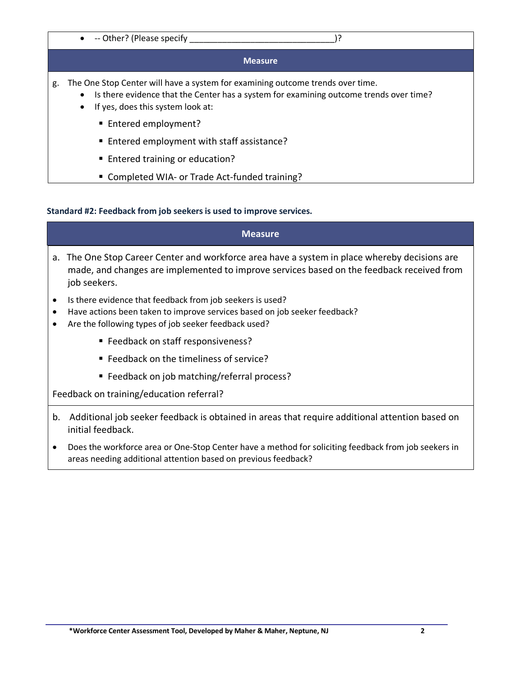#### •  $\rightarrow$  -- Other? (Please specify  $\rightarrow$  )?

#### **Measure**

- g. The One Stop Center will have a system for examining outcome trends over time.
	- Is there evidence that the Center has a system for examining outcome trends over time?
		- If yes, does this system look at:
			- Entered employment?
			- Entered employment with staff assistance?
			- Entered training or education?
			- Completed WIA- or Trade Act-funded training?

#### **Standard #2: Feedback from job seekers is used to improve services.**

#### **Measure**

- a. The One Stop Career Center and workforce area have a system in place whereby decisions are made, and changes are implemented to improve services based on the feedback received from job seekers.
- Is there evidence that feedback from job seekers is used?
- Have actions been taken to improve services based on job seeker feedback?
- Are the following types of job seeker feedback used?
	- Feedback on staff responsiveness?
	- Feedback on the timeliness of service?
	- Feedback on job matching/referral process?

Feedback on training/education referral?

- b. Additional job seeker feedback is obtained in areas that require additional attention based on initial feedback.
- Does the workforce area or One-Stop Center have a method for soliciting feedback from job seekers in areas needing additional attention based on previous feedback?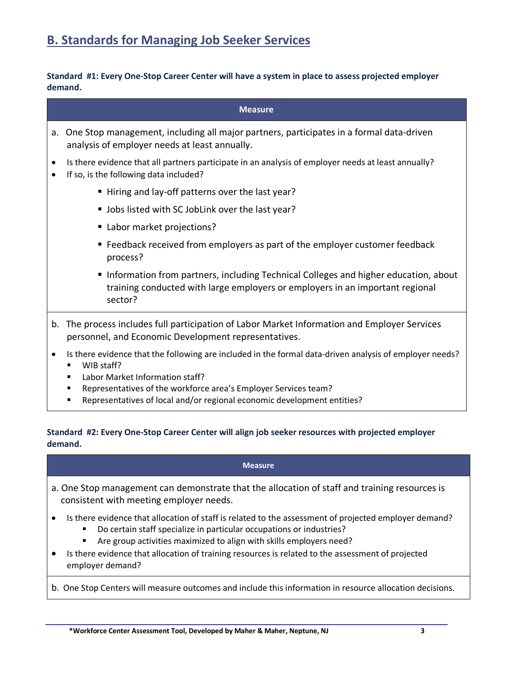**Standard #1: Every One-Stop Career Center will have a system in place to assess projected employer demand.**

|                | <b>Measure</b>                                                                                                                                                                  |
|----------------|---------------------------------------------------------------------------------------------------------------------------------------------------------------------------------|
|                | a. One Stop management, including all major partners, participates in a formal data-driven<br>analysis of employer needs at least annually.                                     |
| $\bullet$<br>٠ | Is there evidence that all partners participate in an analysis of employer needs at least annually?<br>If so, is the following data included?                                   |
|                | " Hiring and lay-off patterns over the last year?                                                                                                                               |
|                | " Jobs listed with SC JobLink over the last year?                                                                                                                               |
|                | ■ Labor market projections?                                                                                                                                                     |
|                | ■ Feedback received from employers as part of the employer customer feedback<br>process?                                                                                        |
|                | Information from partners, including Technical Colleges and higher education, about<br>training conducted with large employers or employers in an important regional<br>sector? |

- b. The process includes full participation of Labor Market Information and Employer Services personnel, and Economic Development representatives.
- Is there evidence that the following are included in the formal data-driven analysis of employer needs?
	- WIB staff?
	- Labor Market Information staff?
	- § Representatives of the workforce area's Employer Services team?
	- § Representatives of local and/or regional economic development entities?

### **Standard #2: Every One-Stop Career Center will align job seeker resources with projected employer demand.**

#### **Measure**

- a. One Stop management can demonstrate that the allocation of staff and training resources is consistent with meeting employer needs.
- Is there evidence that allocation of staff is related to the assessment of projected employer demand?
	- Do certain staff specialize in particular occupations or industries?
	- § Are group activities maximized to align with skills employers need?
- Is there evidence that allocation of training resources is related to the assessment of projected employer demand?
- b. One Stop Centers will measure outcomes and include this information in resource allocation decisions.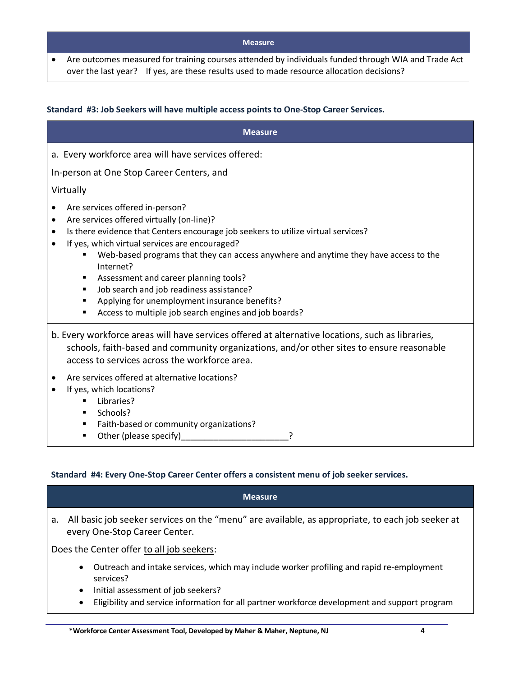• Are outcomes measured for training courses attended by individuals funded through WIA and Trade Act over the last year? If yes, are these results used to made resource allocation decisions?

#### **Standard #3: Job Seekers will have multiple access points to One-Stop Career Services.**

| <b>Measure</b>                                                                                                                                                                                                                                                                                                                                                                                                                                                                                                                                                                          |
|-----------------------------------------------------------------------------------------------------------------------------------------------------------------------------------------------------------------------------------------------------------------------------------------------------------------------------------------------------------------------------------------------------------------------------------------------------------------------------------------------------------------------------------------------------------------------------------------|
| a. Every workforce area will have services offered:                                                                                                                                                                                                                                                                                                                                                                                                                                                                                                                                     |
| In-person at One Stop Career Centers, and                                                                                                                                                                                                                                                                                                                                                                                                                                                                                                                                               |
| Virtually                                                                                                                                                                                                                                                                                                                                                                                                                                                                                                                                                                               |
| Are services offered in-person?<br>Are services offered virtually (on-line)?<br>$\bullet$<br>Is there evidence that Centers encourage job seekers to utilize virtual services?<br>٠<br>If yes, which virtual services are encouraged?<br>Web-based programs that they can access anywhere and anytime they have access to the<br>$\blacksquare$<br>Internet?<br>Assessment and career planning tools?<br>٠<br>Job search and job readiness assistance?<br>п<br>Applying for unemployment insurance benefits?<br>$\blacksquare$<br>Access to multiple job search engines and job boards? |
| b. Every workforce areas will have services offered at alternative locations, such as libraries,<br>schools, faith-based and community organizations, and/or other sites to ensure reasonable<br>access to services across the workforce area.                                                                                                                                                                                                                                                                                                                                          |
| Are services offered at alternative locations?<br>If yes, which locations?<br>Libraries?<br>$\blacksquare$<br>Schools?<br>Faith-based or community organizations?<br>п<br>Other (please specify)<br>$\blacksquare$                                                                                                                                                                                                                                                                                                                                                                      |

#### **Standard #4: Every One-Stop Career Center offers a consistent menu of job seeker services.**

|    | <b>Measure</b>                                                                                                                                                        |  |  |
|----|-----------------------------------------------------------------------------------------------------------------------------------------------------------------------|--|--|
| а. | All basic job seeker services on the "menu" are available, as appropriate, to each job seeker at<br>every One-Stop Career Center.                                     |  |  |
|    | Does the Center offer to all job seekers:                                                                                                                             |  |  |
|    | Outreach and intake services, which may include worker profiling and rapid re-employment<br>$\bullet$<br>services?<br>Initial assessment of job seekers?<br>$\bullet$ |  |  |

• Eligibility and service information for all partner workforce development and support program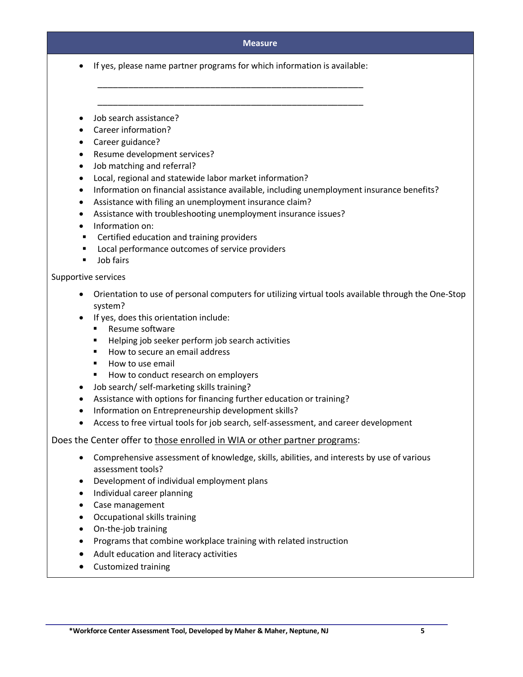• If yes, please name partner programs for which information is available:

\_\_\_\_\_\_\_\_\_\_\_\_\_\_\_\_\_\_\_\_\_\_\_\_\_\_\_\_\_\_\_\_\_\_\_\_\_\_\_\_\_\_\_\_\_\_\_\_\_\_\_\_

\_\_\_\_\_\_\_\_\_\_\_\_\_\_\_\_\_\_\_\_\_\_\_\_\_\_\_\_\_\_\_\_\_\_\_\_\_\_\_\_\_\_\_\_\_\_\_\_\_\_\_\_

- Job search assistance?
- Career information?
- Career guidance?
- Resume development services?
- Job matching and referral?
- Local, regional and statewide labor market information?
- Information on financial assistance available, including unemployment insurance benefits?
- Assistance with filing an unemployment insurance claim?
- Assistance with troubleshooting unemployment insurance issues?
- Information on:
- Certified education and training providers
- Local performance outcomes of service providers
- Job fairs

#### Supportive services

- Orientation to use of personal computers for utilizing virtual tools available through the One-Stop system?
- If yes, does this orientation include:
	- Resume software
	- Helping job seeker perform job search activities
	- How to secure an email address
	- How to use email
	- How to conduct research on employers
- Job search/ self-marketing skills training?
- Assistance with options for financing further education or training?
- Information on Entrepreneurship development skills?
- Access to free virtual tools for job search, self-assessment, and career development

Does the Center offer to those enrolled in WIA or other partner programs:

- Comprehensive assessment of knowledge, skills, abilities, and interests by use of various assessment tools?
- Development of individual employment plans
- Individual career planning
- Case management
- Occupational skills training
- On-the-job training
- Programs that combine workplace training with related instruction
- Adult education and literacy activities
- Customized training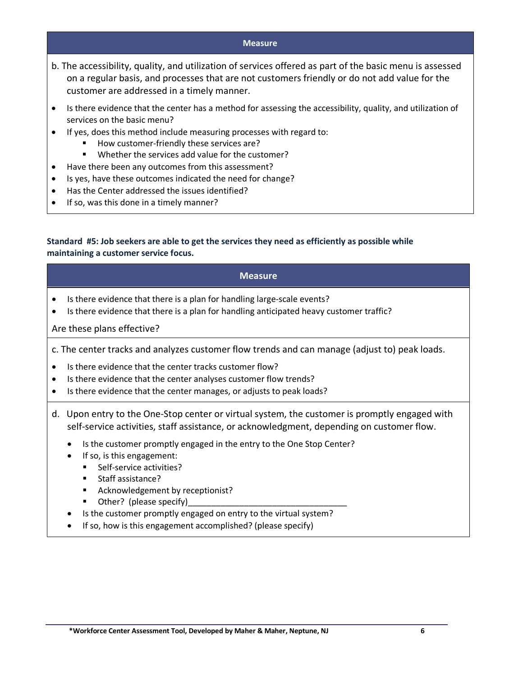- b. The accessibility, quality, and utilization of services offered as part of the basic menu is assessed on a regular basis, and processes that are not customers friendly or do not add value for the customer are addressed in a timely manner.
- Is there evidence that the center has a method for assessing the accessibility, quality, and utilization of services on the basic menu?
- If yes, does this method include measuring processes with regard to:
	- § How customer-friendly these services are?
	- Whether the services add value for the customer?
- Have there been any outcomes from this assessment?
- Is yes, have these outcomes indicated the need for change?
- Has the Center addressed the issues identified?
- If so, was this done in a timely manner?

#### **Standard #5: Job seekers are able to get the services they need as efficiently as possible while maintaining a customer service focus.**

# **Measure** Is there evidence that there is a plan for handling large-scale events?

• Is there evidence that there is a plan for handling anticipated heavy customer traffic?

#### Are these plans effective?

c. The center tracks and analyzes customer flow trends and can manage (adjust to) peak loads.

- Is there evidence that the center tracks customer flow?
- Is there evidence that the center analyses customer flow trends?
- Is there evidence that the center manages, or adjusts to peak loads?
- d. Upon entry to the One-Stop center or virtual system, the customer is promptly engaged with self-service activities, staff assistance, or acknowledgment, depending on customer flow.
	- Is the customer promptly engaged in the entry to the One Stop Center?
	- If so, is this engagement:
		- Self-service activities?
		- Staff assistance?
		- Acknowledgement by receptionist?
		- Other? (please specify)
	- Is the customer promptly engaged on entry to the virtual system?
	- If so, how is this engagement accomplished? (please specify)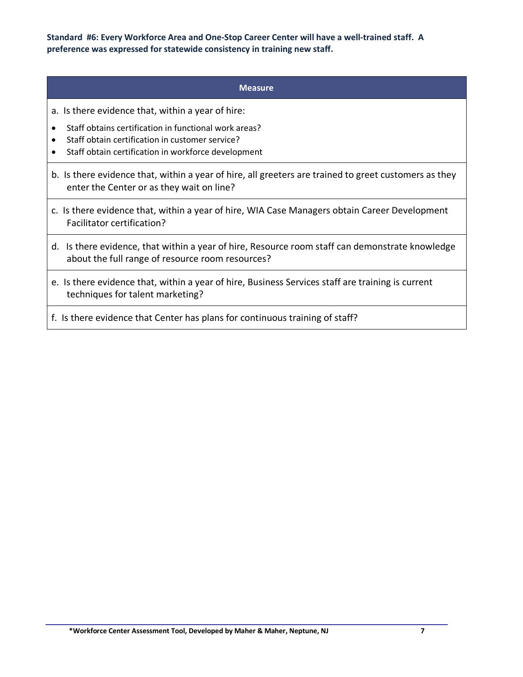**Standard #6: Every Workforce Area and One-Stop Career Center will have a well-trained staff. A preference was expressed for statewide consistency in training new staff.**

#### **Measure**

- a. Is there evidence that, within a year of hire:
- Staff obtains certification in functional work areas?
- Staff obtain certification in customer service?
- Staff obtain certification in workforce development
- b. Is there evidence that, within a year of hire, all greeters are trained to greet customers as they enter the Center or as they wait on line?
- c. Is there evidence that, within a year of hire, WIA Case Managers obtain Career Development Facilitator certification?
- d. Is there evidence, that within a year of hire, Resource room staff can demonstrate knowledge about the full range of resource room resources?
- e. Is there evidence that, within a year of hire, Business Services staff are training is current techniques for talent marketing?
- f. Is there evidence that Center has plans for continuous training of staff?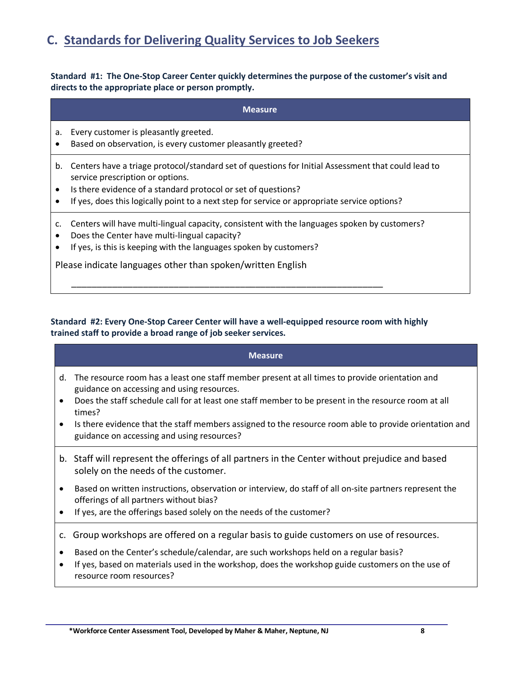## **C. Standards for Delivering Quality Services to Job Seekers**

#### **Standard #1: The One-Stop Career Center quickly determines the purpose of the customer's visit and directs to the appropriate place or person promptly.**

|                              | <b>Measure</b>                                                                                                                                                                                                                                                                                          |
|------------------------------|---------------------------------------------------------------------------------------------------------------------------------------------------------------------------------------------------------------------------------------------------------------------------------------------------------|
| a.<br>٠                      | Every customer is pleasantly greeted.<br>Based on observation, is every customer pleasantly greeted?                                                                                                                                                                                                    |
| b.<br>$\bullet$<br>$\bullet$ | Centers have a triage protocol/standard set of questions for Initial Assessment that could lead to<br>service prescription or options.<br>Is there evidence of a standard protocol or set of questions?<br>If yes, does this logically point to a next step for service or appropriate service options? |
| c.<br>٠                      | Centers will have multi-lingual capacity, consistent with the languages spoken by customers?<br>Does the Center have multi-lingual capacity?<br>If yes, is this is keeping with the languages spoken by customers?<br>Please indicate languages other than spoken/written English                       |
|                              |                                                                                                                                                                                                                                                                                                         |

#### **Standard #2: Every One-Stop Career Center will have a well-equipped resource room with highly trained staff to provide a broad range of job seeker services.**

#### **Measure**

- d. The resource room has a least one staff member present at all times to provide orientation and guidance on accessing and using resources.
- Does the staff schedule call for at least one staff member to be present in the resource room at all times?
- Is there evidence that the staff members assigned to the resource room able to provide orientation and guidance on accessing and using resources?
- b. Staff will represent the offerings of all partners in the Center without prejudice and based solely on the needs of the customer.
- Based on written instructions, observation or interview, do staff of all on-site partners represent the offerings of all partners without bias?
- If yes, are the offerings based solely on the needs of the customer?
- c. Group workshops are offered on a regular basis to guide customers on use of resources.
- Based on the Center's schedule/calendar, are such workshops held on a regular basis?
- If yes, based on materials used in the workshop, does the workshop guide customers on the use of resource room resources?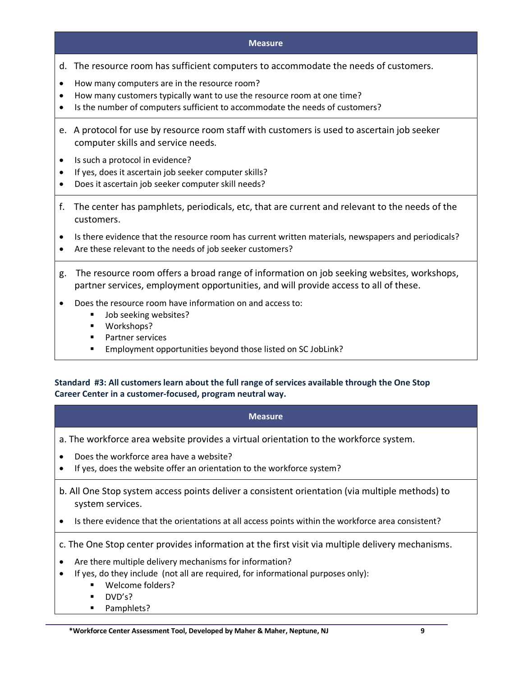- d. The resource room has sufficient computers to accommodate the needs of customers.
- How many computers are in the resource room?
- How many customers typically want to use the resource room at one time?
- Is the number of computers sufficient to accommodate the needs of customers?
- e. A protocol for use by resource room staff with customers is used to ascertain job seeker computer skills and service needs.
- Is such a protocol in evidence?
- If yes, does it ascertain job seeker computer skills?
- Does it ascertain job seeker computer skill needs?
- f. The center has pamphlets, periodicals, etc, that are current and relevant to the needs of the customers.
- Is there evidence that the resource room has current written materials, newspapers and periodicals?
- Are these relevant to the needs of job seeker customers?
- g. The resource room offers a broad range of information on job seeking websites, workshops, partner services, employment opportunities, and will provide access to all of these.
- Does the resource room have information on and access to:
	- Job seeking websites?
	- Workshops?
	- Partner services
	- Employment opportunities beyond those listed on SC JobLink?

**Standard #3: All customers learn about the full range of services available through the One Stop Career Center in a customer-focused, program neutral way.**

- **Measure**
- a. The workforce area website provides a virtual orientation to the workforce system.
- Does the workforce area have a website?
- If yes, does the website offer an orientation to the workforce system?
- b. All One Stop system access points deliver a consistent orientation (via multiple methods) to system services.
- Is there evidence that the orientations at all access points within the workforce area consistent?

c. The One Stop center provides information at the first visit via multiple delivery mechanisms.

- Are there multiple delivery mechanisms for information?
- If yes, do they include (not all are required, for informational purposes only):
	- § Welcome folders?
	- § DVD's?
	- Pamphlets?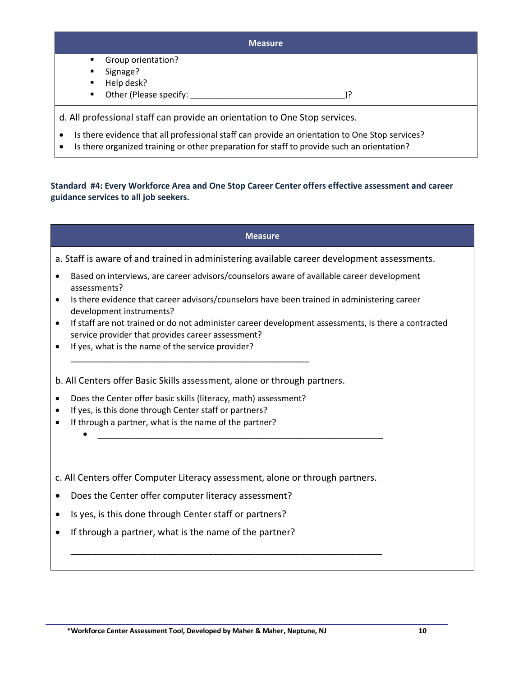|                        | <b>Measure</b> |
|------------------------|----------------|
| Group orientation?     |                |
| Signage?               |                |
| Help desk?             |                |
| Other (Please specify: |                |

• Is there organized training or other preparation for staff to provide such an orientation?

**Standard #4: Every Workforce Area and One Stop Career Center offers effective assessment and career guidance services to all job seekers.**

|                                     | <b>Measure</b>                                                                                                                                                                                                                                                                                                                              |
|-------------------------------------|---------------------------------------------------------------------------------------------------------------------------------------------------------------------------------------------------------------------------------------------------------------------------------------------------------------------------------------------|
|                                     | a. Staff is aware of and trained in administering available career development assessments.                                                                                                                                                                                                                                                 |
| $\bullet$<br>$\bullet$<br>$\bullet$ | Based on interviews, are career advisors/counselors aware of available career development<br>assessments?<br>Is there evidence that career advisors/counselors have been trained in administering career<br>development instruments?<br>If staff are not trained or do not administer career development assessments, is there a contracted |
| $\bullet$                           | service provider that provides career assessment?<br>If yes, what is the name of the service provider?                                                                                                                                                                                                                                      |
|                                     | b. All Centers offer Basic Skills assessment, alone or through partners.                                                                                                                                                                                                                                                                    |
| $\bullet$                           | Does the Center offer basic skills (literacy, math) assessment?                                                                                                                                                                                                                                                                             |
| $\bullet$                           | If yes, is this done through Center staff or partners?                                                                                                                                                                                                                                                                                      |
| $\bullet$                           | If through a partner, what is the name of the partner?                                                                                                                                                                                                                                                                                      |
|                                     | c. All Centers offer Computer Literacy assessment, alone or through partners.                                                                                                                                                                                                                                                               |
| $\bullet$                           | Does the Center offer computer literacy assessment?                                                                                                                                                                                                                                                                                         |
| $\bullet$                           | Is yes, is this done through Center staff or partners?                                                                                                                                                                                                                                                                                      |
| $\bullet$                           | If through a partner, what is the name of the partner?                                                                                                                                                                                                                                                                                      |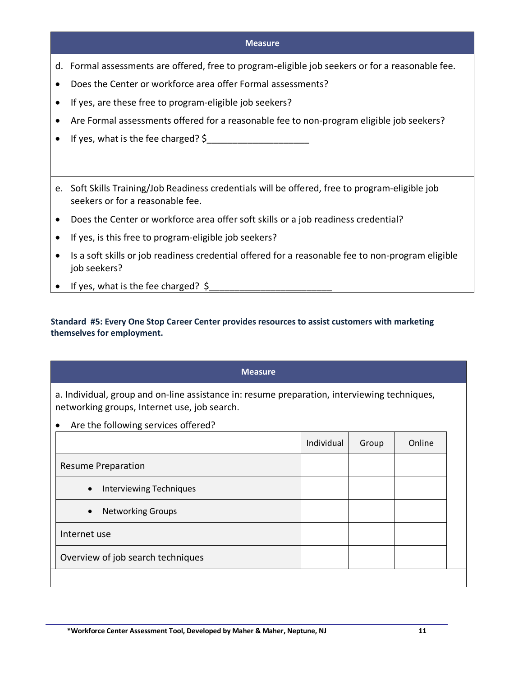- d. Formal assessments are offered, free to program-eligible job seekers or for a reasonable fee.
- Does the Center or workforce area offer Formal assessments?
- If yes, are these free to program-eligible job seekers?
- Are Formal assessments offered for a reasonable fee to non-program eligible job seekers?
- If yes, what is the fee charged? \$
- e. Soft Skills Training/Job Readiness credentials will be offered, free to program-eligible job seekers or for a reasonable fee.
- Does the Center or workforce area offer soft skills or a job readiness credential?
- If yes, is this free to program-eligible job seekers?
- Is a soft skills or job readiness credential offered for a reasonable fee to non-program eligible job seekers?
- If yes, what is the fee charged?  $\oint$

#### **Standard #5: Every One Stop Career Center provides resources to assist customers with marketing themselves for employment.**

## **Measure**

a. Individual, group and on-line assistance in: resume preparation, interviewing techniques, networking groups, Internet use, job search.

• Are the following services offered?

| Individual                        | Group | Online |
|-----------------------------------|-------|--------|
|                                   |       |        |
|                                   |       |        |
|                                   |       |        |
|                                   |       |        |
| Overview of job search techniques |       |        |
|                                   |       |        |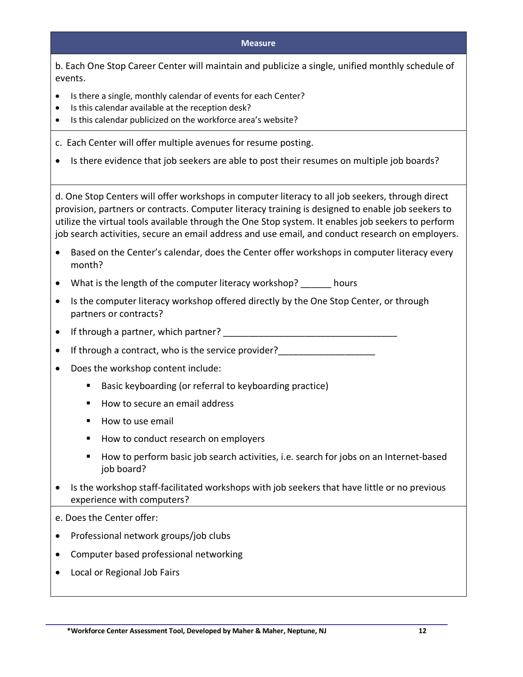b. Each One Stop Career Center will maintain and publicize a single, unified monthly schedule of events.

- Is there a single, monthly calendar of events for each Center?
- Is this calendar available at the reception desk?
- Is this calendar publicized on the workforce area's website?
- c. Each Center will offer multiple avenues for resume posting.
- Is there evidence that job seekers are able to post their resumes on multiple job boards?

d. One Stop Centers will offer workshops in computer literacy to all job seekers, through direct provision, partners or contracts. Computer literacy training is designed to enable job seekers to utilize the virtual tools available through the One Stop system. It enables job seekers to perform job search activities, secure an email address and use email, and conduct research on employers.

- Based on the Center's calendar, does the Center offer workshops in computer literacy every month?
- What is the length of the computer literacy workshop? hours
- Is the computer literacy workshop offered directly by the One Stop Center, or through partners or contracts?
- If through a partner, which partner?  $\blacksquare$
- If through a contract, who is the service provider?
- Does the workshop content include:
	- Basic keyboarding (or referral to keyboarding practice)
	- How to secure an email address
	- How to use email
	- How to conduct research on employers
	- How to perform basic job search activities, i.e. search for jobs on an Internet-based job board?
- Is the workshop staff-facilitated workshops with job seekers that have little or no previous experience with computers?
- e. Does the Center offer:
- Professional network groups/job clubs
- Computer based professional networking
- Local or Regional Job Fairs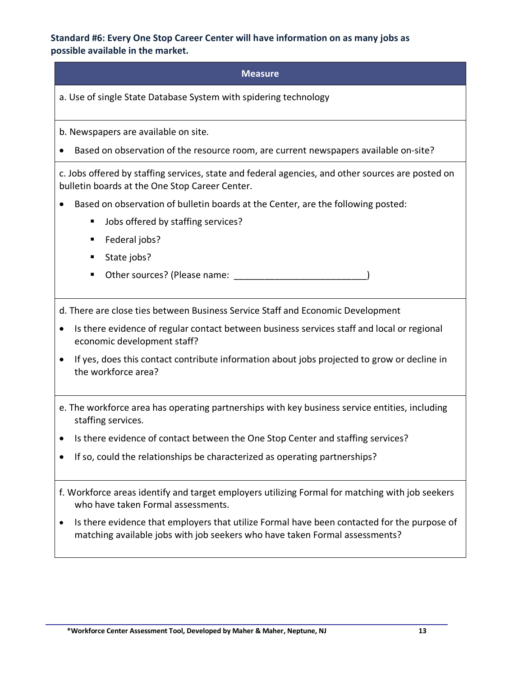#### **Standard #6: Every One Stop Career Center will have information on as many jobs as possible available in the market.**

#### **Measure**

a. Use of single State Database System with spidering technology

b. Newspapers are available on site.

• Based on observation of the resource room, are current newspapers available on-site?

c. Jobs offered by staffing services, state and federal agencies, and other sources are posted on bulletin boards at the One Stop Career Center.

- Based on observation of bulletin boards at the Center, are the following posted:
	- Jobs offered by staffing services?
	- Federal jobs?
	- State jobs?
	- Other sources? (Please name:  $\blacksquare$

d. There are close ties between Business Service Staff and Economic Development

- Is there evidence of regular contact between business services staff and local or regional economic development staff?
- If yes, does this contact contribute information about jobs projected to grow or decline in the workforce area?
- e. The workforce area has operating partnerships with key business service entities, including staffing services.
- Is there evidence of contact between the One Stop Center and staffing services?
- If so, could the relationships be characterized as operating partnerships?
- f. Workforce areas identify and target employers utilizing Formal for matching with job seekers who have taken Formal assessments.
- Is there evidence that employers that utilize Formal have been contacted for the purpose of matching available jobs with job seekers who have taken Formal assessments?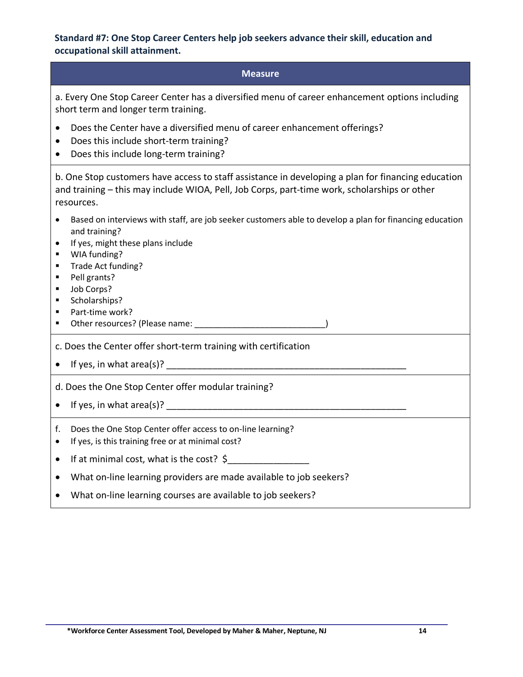## **Standard #7: One Stop Career Centers help job seekers advance their skill, education and occupational skill attainment.**

| <b>Measure</b>                                                                                                                                                                                                                                                                                                             |
|----------------------------------------------------------------------------------------------------------------------------------------------------------------------------------------------------------------------------------------------------------------------------------------------------------------------------|
| a. Every One Stop Career Center has a diversified menu of career enhancement options including<br>short term and longer term training.                                                                                                                                                                                     |
| Does the Center have a diversified menu of career enhancement offerings?<br>Does this include short-term training?<br>٠<br>Does this include long-term training?                                                                                                                                                           |
| b. One Stop customers have access to staff assistance in developing a plan for financing education<br>and training - this may include WIOA, Pell, Job Corps, part-time work, scholarships or other<br>resources.                                                                                                           |
| Based on interviews with staff, are job seeker customers able to develop a plan for financing education<br>$\bullet$<br>and training?<br>If yes, might these plans include<br>٠<br>WIA funding?<br>٠<br>Trade Act funding?<br>٠<br>Pell grants?<br>٠<br>Job Corps?<br>٠<br>Scholarships?<br>٠<br>Part-time work?<br>٠<br>٠ |
| c. Does the Center offer short-term training with certification                                                                                                                                                                                                                                                            |
| d. Does the One Stop Center offer modular training?                                                                                                                                                                                                                                                                        |
| Does the One Stop Center offer access to on-line learning?<br>f.<br>If yes, is this training free or at minimal cost?<br>$\bullet$                                                                                                                                                                                         |
| If at minimal cost, what is the cost? $\oint$<br>$\bullet$                                                                                                                                                                                                                                                                 |
| What on-line learning providers are made available to job seekers?                                                                                                                                                                                                                                                         |

• What on-line learning courses are available to job seekers?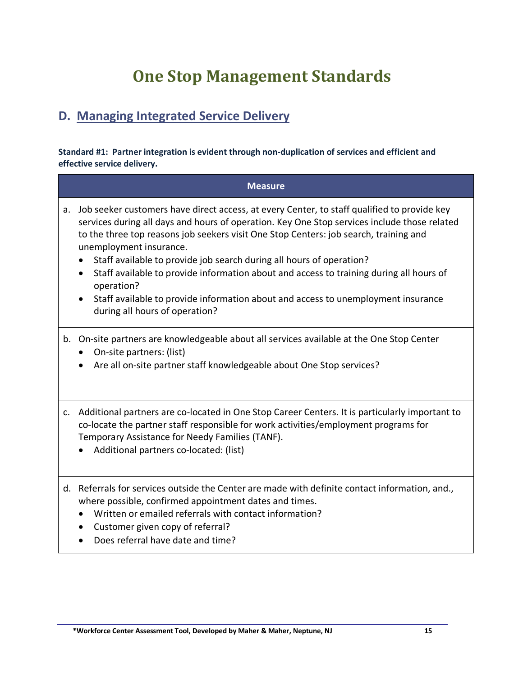# **One Stop Management Standards**

# **D. Managing Integrated Service Delivery**

**Standard #1: Partner integration is evident through non-duplication of services and efficient and effective service delivery.**

|    | <b>Measure</b>                                                                                                                                                                                                                                                                                                                                                                                                                                                                                                                                                                                                          |
|----|-------------------------------------------------------------------------------------------------------------------------------------------------------------------------------------------------------------------------------------------------------------------------------------------------------------------------------------------------------------------------------------------------------------------------------------------------------------------------------------------------------------------------------------------------------------------------------------------------------------------------|
| а. | Job seeker customers have direct access, at every Center, to staff qualified to provide key<br>services during all days and hours of operation. Key One Stop services include those related<br>to the three top reasons job seekers visit One Stop Centers: job search, training and<br>unemployment insurance.<br>Staff available to provide job search during all hours of operation?<br>Staff available to provide information about and access to training during all hours of<br>operation?<br>Staff available to provide information about and access to unemployment insurance<br>during all hours of operation? |
|    | b. On-site partners are knowledgeable about all services available at the One Stop Center<br>On-site partners: (list)<br>Are all on-site partner staff knowledgeable about One Stop services?                                                                                                                                                                                                                                                                                                                                                                                                                           |
| c. | Additional partners are co-located in One Stop Career Centers. It is particularly important to<br>co-locate the partner staff responsible for work activities/employment programs for<br>Temporary Assistance for Needy Families (TANF).<br>Additional partners co-located: (list)                                                                                                                                                                                                                                                                                                                                      |
|    | d. Referrals for services outside the Center are made with definite contact information, and.,<br>where possible, confirmed appointment dates and times.<br>Written or emailed referrals with contact information?<br>Customer given copy of referral?<br>$\bullet$<br>Does referral have date and time?                                                                                                                                                                                                                                                                                                                |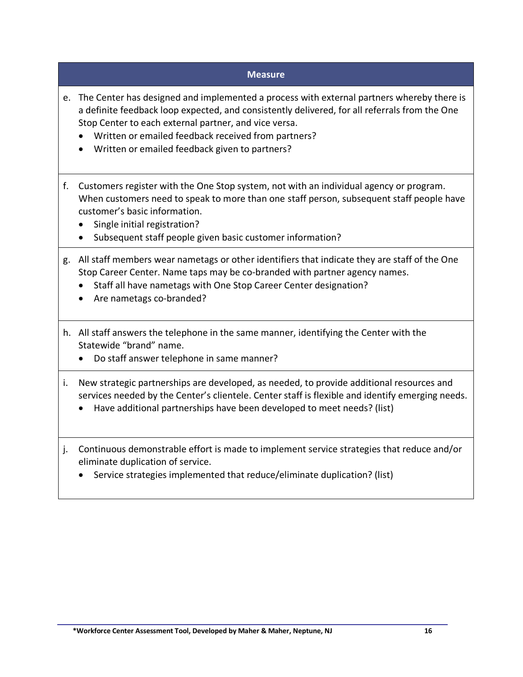- e. The Center has designed and implemented a process with external partners whereby there is a definite feedback loop expected, and consistently delivered, for all referrals from the One Stop Center to each external partner, and vice versa.
	- Written or emailed feedback received from partners?
	- Written or emailed feedback given to partners?
- f. Customers register with the One Stop system, not with an individual agency or program. When customers need to speak to more than one staff person, subsequent staff people have customer's basic information.
	- Single initial registration?
	- Subsequent staff people given basic customer information?
- g. All staff members wear nametags or other identifiers that indicate they are staff of the One Stop Career Center. Name taps may be co-branded with partner agency names.
	- Staff all have nametags with One Stop Career Center designation?
	- Are nametags co-branded?
- h. All staff answers the telephone in the same manner, identifying the Center with the Statewide "brand" name.
	- Do staff answer telephone in same manner?
- i. New strategic partnerships are developed, as needed, to provide additional resources and services needed by the Center's clientele. Center staff is flexible and identify emerging needs.
	- Have additional partnerships have been developed to meet needs? (list)
- j. Continuous demonstrable effort is made to implement service strategies that reduce and/or eliminate duplication of service.
	- Service strategies implemented that reduce/eliminate duplication? (list)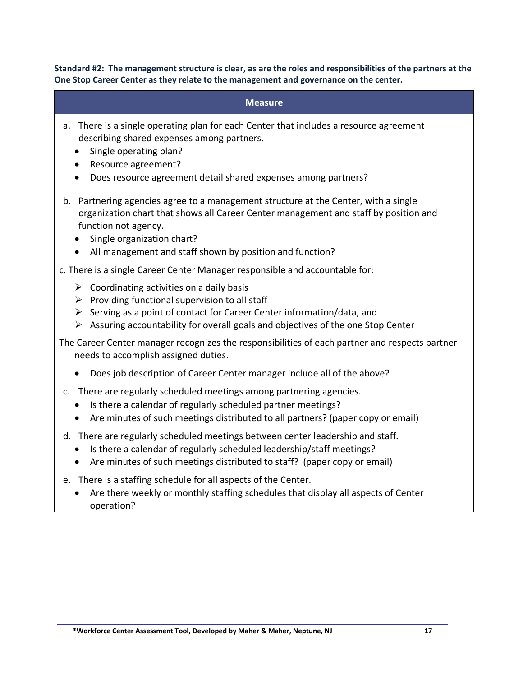**Standard #2: The management structure is clear, as are the roles and responsibilities of the partners at the One Stop Career Center as they relate to the management and governance on the center.**

| <b>Measure</b>                                                                                                                                                                                                                                                                                                            |
|---------------------------------------------------------------------------------------------------------------------------------------------------------------------------------------------------------------------------------------------------------------------------------------------------------------------------|
| There is a single operating plan for each Center that includes a resource agreement<br>a.<br>describing shared expenses among partners.<br>Single operating plan?<br>Resource agreement?<br>Does resource agreement detail shared expenses among partners?<br>$\bullet$                                                   |
| b. Partnering agencies agree to a management structure at the Center, with a single<br>organization chart that shows all Career Center management and staff by position and<br>function not agency.<br>Single organization chart?<br>All management and staff shown by position and function?                             |
| c. There is a single Career Center Manager responsible and accountable for:                                                                                                                                                                                                                                               |
| $\triangleright$ Coordinating activities on a daily basis<br>$\triangleright$ Providing functional supervision to all staff<br>$\triangleright$ Serving as a point of contact for Career Center information/data, and<br>$\triangleright$ Assuring accountability for overall goals and objectives of the one Stop Center |
| The Career Center manager recognizes the responsibilities of each partner and respects partner<br>needs to accomplish assigned duties.                                                                                                                                                                                    |
| Does job description of Career Center manager include all of the above?                                                                                                                                                                                                                                                   |
| c. There are regularly scheduled meetings among partnering agencies.<br>Is there a calendar of regularly scheduled partner meetings?<br>Are minutes of such meetings distributed to all partners? (paper copy or email)                                                                                                   |
| d. There are regularly scheduled meetings between center leadership and staff.<br>Is there a calendar of regularly scheduled leadership/staff meetings?<br>Are minutes of such meetings distributed to staff? (paper copy or email)                                                                                       |
| e. There is a staffing schedule for all aspects of the Center.<br>Are there weekly or monthly staffing schedules that display all aspects of Center                                                                                                                                                                       |

operation?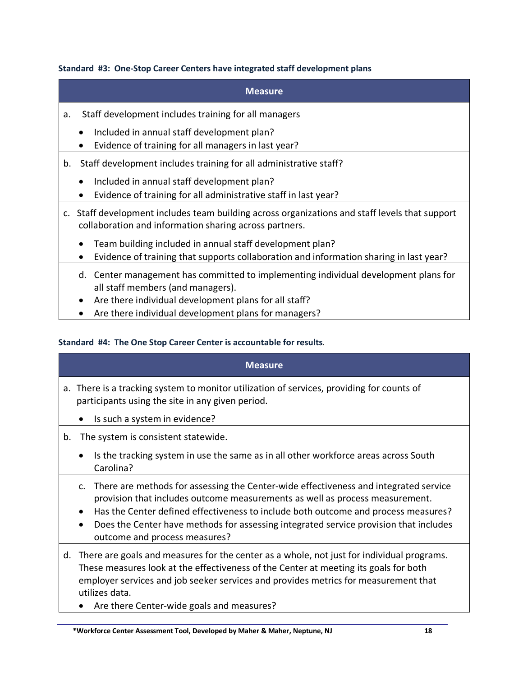#### **Standard #3: One-Stop Career Centers have integrated staff development plans**

### **Measure**

- a. Staff development includes training for all managers
	- Included in annual staff development plan?
	- Evidence of training for all managers in last year?
- b. Staff development includes training for all administrative staff?
	- Included in annual staff development plan?
	- Evidence of training for all administrative staff in last year?
- c. Staff development includes team building across organizations and staff levels that support collaboration and information sharing across partners.
	- Team building included in annual staff development plan?
	- Evidence of training that supports collaboration and information sharing in last year?
	- d. Center management has committed to implementing individual development plans for all staff members (and managers).
	- Are there individual development plans for all staff?
	- Are there individual development plans for managers?

#### **Standard #4: The One Stop Career Center is accountable for results**.

|    | <b>Measure</b>                                                                                                                                                                                                                                                                                                                                                                                                    |
|----|-------------------------------------------------------------------------------------------------------------------------------------------------------------------------------------------------------------------------------------------------------------------------------------------------------------------------------------------------------------------------------------------------------------------|
|    | a. There is a tracking system to monitor utilization of services, providing for counts of<br>participants using the site in any given period.<br>Is such a system in evidence?<br>$\bullet$                                                                                                                                                                                                                       |
| b. | The system is consistent statewide.<br>Is the tracking system in use the same as in all other workforce areas across South<br>$\bullet$<br>Carolina?                                                                                                                                                                                                                                                              |
|    | c. There are methods for assessing the Center-wide effectiveness and integrated service<br>provision that includes outcome measurements as well as process measurement.<br>Has the Center defined effectiveness to include both outcome and process measures?<br>$\bullet$<br>Does the Center have methods for assessing integrated service provision that includes<br>$\bullet$<br>outcome and process measures? |
| d. | There are goals and measures for the center as a whole, not just for individual programs.<br>These measures look at the effectiveness of the Center at meeting its goals for both<br>employer services and job seeker services and provides metrics for measurement that<br>utilizes data.<br>$\bullet$ Ara thora Contar-wide goals and moasures?                                                                 |

there center-wide goals and measures?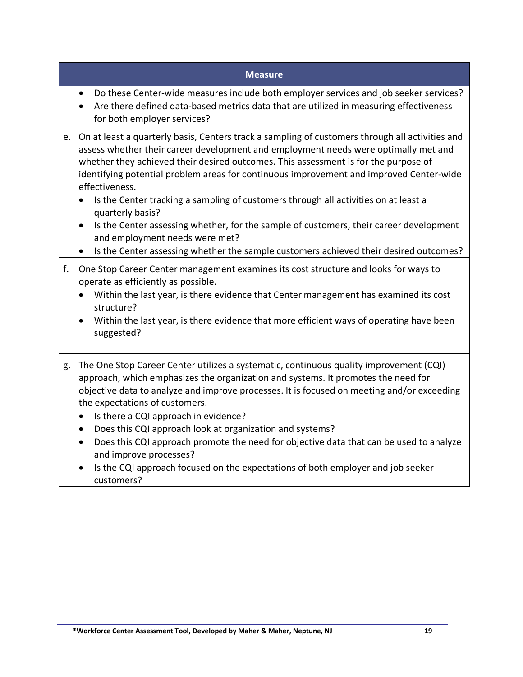- Do these Center-wide measures include both employer services and job seeker services?
- Are there defined data-based metrics data that are utilized in measuring effectiveness for both employer services?
- e. On at least a quarterly basis, Centers track a sampling of customers through all activities and assess whether their career development and employment needs were optimally met and whether they achieved their desired outcomes. This assessment is for the purpose of identifying potential problem areas for continuous improvement and improved Center-wide effectiveness.
	- Is the Center tracking a sampling of customers through all activities on at least a quarterly basis?
	- Is the Center assessing whether, for the sample of customers, their career development and employment needs were met?
	- Is the Center assessing whether the sample customers achieved their desired outcomes?
- f. One Stop Career Center management examines its cost structure and looks for ways to operate as efficiently as possible.
	- Within the last year, is there evidence that Center management has examined its cost structure?
	- Within the last year, is there evidence that more efficient ways of operating have been suggested?
- g. The One Stop Career Center utilizes a systematic, continuous quality improvement (CQI) approach, which emphasizes the organization and systems. It promotes the need for objective data to analyze and improve processes. It is focused on meeting and/or exceeding the expectations of customers.
	- Is there a CQI approach in evidence?
	- Does this CQI approach look at organization and systems?
	- Does this CQI approach promote the need for objective data that can be used to analyze and improve processes?
	- Is the CQI approach focused on the expectations of both employer and job seeker customers?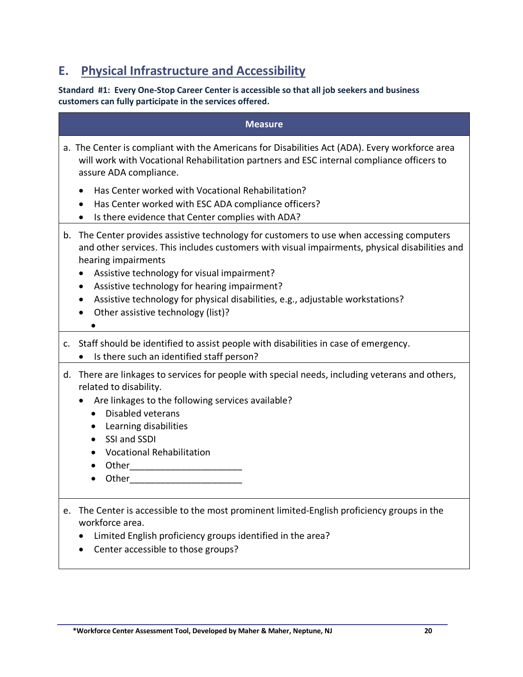# **E. Physical Infrastructure and Accessibility**

## **Standard #1: Every One-Stop Career Center is accessible so that all job seekers and business customers can fully participate in the services offered.**

|    | <b>Measure</b>                                                                                                                                                                                                                                                                                                                                                                                                                         |
|----|----------------------------------------------------------------------------------------------------------------------------------------------------------------------------------------------------------------------------------------------------------------------------------------------------------------------------------------------------------------------------------------------------------------------------------------|
|    | a. The Center is compliant with the Americans for Disabilities Act (ADA). Every workforce area<br>will work with Vocational Rehabilitation partners and ESC internal compliance officers to<br>assure ADA compliance.                                                                                                                                                                                                                  |
|    | Has Center worked with Vocational Rehabilitation?<br>Has Center worked with ESC ADA compliance officers?<br>Is there evidence that Center complies with ADA?<br>٠                                                                                                                                                                                                                                                                      |
| b. | The Center provides assistive technology for customers to use when accessing computers<br>and other services. This includes customers with visual impairments, physical disabilities and<br>hearing impairments<br>Assistive technology for visual impairment?<br>Assistive technology for hearing impairment?<br>Assistive technology for physical disabilities, e.g., adjustable workstations?<br>Other assistive technology (list)? |
|    | c. Staff should be identified to assist people with disabilities in case of emergency.<br>Is there such an identified staff person?                                                                                                                                                                                                                                                                                                    |
|    | d. There are linkages to services for people with special needs, including veterans and others,<br>related to disability.<br>Are linkages to the following services available?<br>Disabled veterans<br>$\bullet$<br>Learning disabilities<br>$\bullet$<br>SSI and SSDI<br>$\bullet$<br><b>Vocational Rehabilitation</b><br>$\bullet$<br>Other ________________________<br>$\bullet$<br>Other                                           |
| е. | The Center is accessible to the most prominent limited-English proficiency groups in the<br>workforce area.<br>Limited English proficiency groups identified in the area?<br>Center accessible to those groups?                                                                                                                                                                                                                        |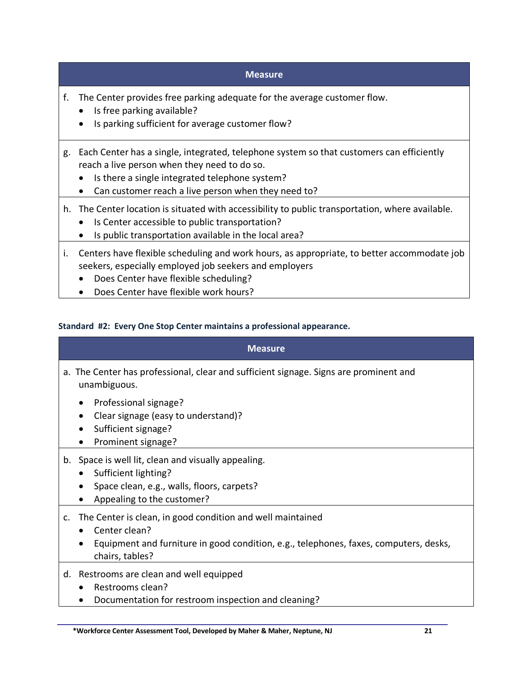- f. The Center provides free parking adequate for the average customer flow.
	- Is free parking available?
	- Is parking sufficient for average customer flow?
- g. Each Center has a single, integrated, telephone system so that customers can efficiently reach a live person when they need to do so.
	- Is there a single integrated telephone system?
	- Can customer reach a live person when they need to?
- h. The Center location is situated with accessibility to public transportation, where available.
	- Is Center accessible to public transportation?
	- Is public transportation available in the local area?
- i. Centers have flexible scheduling and work hours, as appropriate, to better accommodate job seekers, especially employed job seekers and employers
	- Does Center have flexible scheduling?
	- Does Center have flexible work hours?

## **Standard #2: Every One Stop Center maintains a professional appearance.**

| <b>Measure</b>                                                                                                                                                                             |
|--------------------------------------------------------------------------------------------------------------------------------------------------------------------------------------------|
| a. The Center has professional, clear and sufficient signage. Signs are prominent and<br>unambiguous.                                                                                      |
| Professional signage?<br>Clear signage (easy to understand)?<br>Sufficient signage?<br>Prominent signage?                                                                                  |
| b. Space is well lit, clean and visually appealing.<br>Sufficient lighting?<br>Space clean, e.g., walls, floors, carpets?<br>Appealing to the customer?                                    |
| c. The Center is clean, in good condition and well maintained<br>Center clean?<br>Equipment and furniture in good condition, e.g., telephones, faxes, computers, desks,<br>chairs, tables? |
| d. Restrooms are clean and well equipped<br>Restrooms clean?                                                                                                                               |

• Documentation for restroom inspection and cleaning?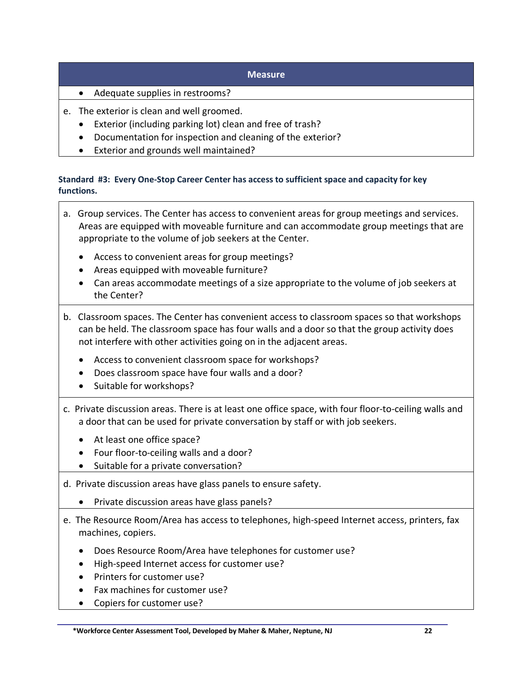- Adequate supplies in restrooms?
- e. The exterior is clean and well groomed.
	- Exterior (including parking lot) clean and free of trash?
	- Documentation for inspection and cleaning of the exterior?
	- Exterior and grounds well maintained?

## **Standard #3: Every One-Stop Career Center has access to sufficient space and capacity for key functions.**

- a. Group services. The Center has access to convenient areas for group meetings and services. Areas are equipped with moveable furniture and can accommodate group meetings that are appropriate to the volume of job seekers at the Center. • Access to convenient areas for group meetings? • Areas equipped with moveable furniture? • Can areas accommodate meetings of a size appropriate to the volume of job seekers at the Center? b. Classroom spaces. The Center has convenient access to classroom spaces so that workshops can be held. The classroom space has four walls and a door so that the group activity does not interfere with other activities going on in the adjacent areas. • Access to convenient classroom space for workshops? • Does classroom space have four walls and a door? • Suitable for workshops? c. Private discussion areas. There is at least one office space, with four floor-to-ceiling walls and a door that can be used for private conversation by staff or with job seekers. • At least one office space? • Four floor-to-ceiling walls and a door? • Suitable for a private conversation? d. Private discussion areas have glass panels to ensure safety. • Private discussion areas have glass panels? e. The Resource Room/Area has access to telephones, high-speed Internet access, printers, fax machines, copiers.
	- Does Resource Room/Area have telephones for customer use?
	- High-speed Internet access for customer use?
	- Printers for customer use?
	- Fax machines for customer use?
	- Copiers for customer use?